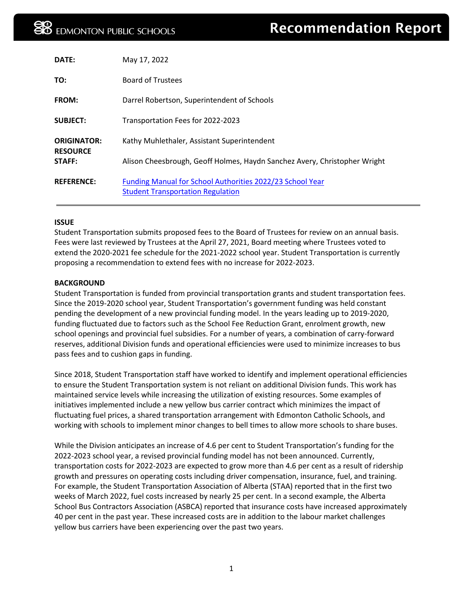| DATE:                                 | May 17, 2022                                                                                          |
|---------------------------------------|-------------------------------------------------------------------------------------------------------|
| TO:                                   | <b>Board of Trustees</b>                                                                              |
| <b>FROM:</b>                          | Darrel Robertson, Superintendent of Schools                                                           |
| <b>SUBJECT:</b>                       | Transportation Fees for 2022-2023                                                                     |
| <b>ORIGINATOR:</b><br><b>RESOURCE</b> | Kathy Muhlethaler, Assistant Superintendent                                                           |
| STAFF:                                | Alison Cheesbrough, Geoff Holmes, Haydn Sanchez Avery, Christopher Wright                             |
| <b>REFERENCE:</b>                     | Funding Manual for School Authorities 2022/23 School Year<br><b>Student Transportation Regulation</b> |

#### **ISSUE**

Student Transportation submits proposed fees to the Board of Trustees for review on an annual basis. Fees were last reviewed by Trustees at the April 27, 2021, Board meeting where Trustees voted to extend the 2020-2021 fee schedule for the 2021-2022 school year. Student Transportation is currently proposing a recommendation to extend fees with no increase for 2022-2023.

#### **BACKGROUND**

Student Transportation is funded from provincial transportation grants and student transportation fees. Since the 2019-2020 school year, Student Transportation's government funding was held constant pending the development of a new provincial funding model. In the years leading up to 2019-2020, funding fluctuated due to factors such as the School Fee Reduction Grant, enrolment growth, new school openings and provincial fuel subsidies. For a number of years, a combination of carry-forward reserves, additional Division funds and operational efficiencies were used to minimize increases to bus pass fees and to cushion gaps in funding.

Since 2018, Student Transportation staff have worked to identify and implement operational efficiencies to ensure the Student Transportation system is not reliant on additional Division funds. This work has maintained service levels while increasing the utilization of existing resources. Some examples of initiatives implemented include a new yellow bus carrier contract which minimizes the impact of fluctuating fuel prices, a shared transportation arrangement with Edmonton Catholic Schools, and working with schools to implement minor changes to bell times to allow more schools to share buses.

While the Division anticipates an increase of 4.6 per cent to Student Transportation's funding for the 2022-2023 school year, a revised provincial funding model has not been announced. Currently, transportation costs for 2022-2023 are expected to grow more than 4.6 per cent as a result of ridership growth and pressures on operating costs including driver compensation, insurance, fuel, and training. For example, the Student Transportation Association of Alberta (STAA) reported that in the first two weeks of March 2022, fuel costs increased by nearly 25 per cent. In a second example, the Alberta School Bus Contractors Association (ASBCA) reported that insurance costs have increased approximately 40 per cent in the past year. These increased costs are in addition to the labour market challenges yellow bus carriers have been experiencing over the past two years.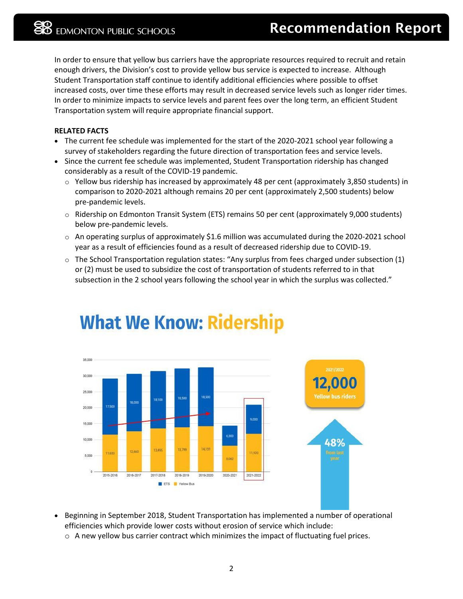In order to ensure that yellow bus carriers have the appropriate resources required to recruit and retain enough drivers, the Division's cost to provide yellow bus service is expected to increase. Although Student Transportation staff continue to identify additional efficiencies where possible to offset increased costs, over time these efforts may result in decreased service levels such as longer rider times. In order to minimize impacts to service levels and parent fees over the long term, an efficient Student Transportation system will require appropriate financial support.

#### **RELATED FACTS**

- The current fee schedule was implemented for the start of the 2020-2021 school year following a survey of stakeholders regarding the future direction of transportation fees and service levels.
- Since the current fee schedule was implemented, Student Transportation ridership has changed considerably as a result of the COVID-19 pandemic.
	- $\circ$  Yellow bus ridership has increased by approximately 48 per cent (approximately 3,850 students) in comparison to 2020-2021 although remains 20 per cent (approximately 2,500 students) below pre-pandemic levels.
	- $\circ$  Ridership on Edmonton Transit System (ETS) remains 50 per cent (approximately 9,000 students) below pre-pandemic levels.
	- $\circ$  An operating surplus of approximately \$1.6 million was accumulated during the 2020-2021 school year as a result of efficiencies found as a result of decreased ridership due to COVID-19.
	- o The School Transportation regulation states: "Any surplus from fees charged under subsection (1) or (2) must be used to subsidize the cost of transportation of students referred to in that subsection in the 2 school years following the school year in which the surplus was collected."



## **What We Know: Ridership**

- Beginning in September 2018, Student Transportation has implemented a number of operational efficiencies which provide lower costs without erosion of service which include:
	- $\circ$  A new yellow bus carrier contract which minimizes the impact of fluctuating fuel prices.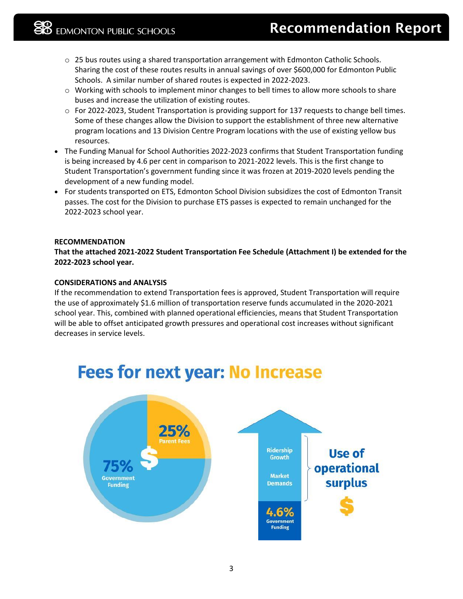- $\circ$  25 bus routes using a shared transportation arrangement with Edmonton Catholic Schools. Sharing the cost of these routes results in annual savings of over \$600,000 for Edmonton Public Schools. A similar number of shared routes is expected in 2022-2023.
- o Working with schools to implement minor changes to bell times to allow more schools to share buses and increase the utilization of existing routes.
- $\circ$  For 2022-2023, Student Transportation is providing support for 137 requests to change bell times. Some of these changes allow the Division to support the establishment of three new alternative program locations and 13 Division Centre Program locations with the use of existing yellow bus resources.
- The Funding Manual for School Authorities 2022-2023 confirms that Student Transportation funding is being increased by 4.6 per cent in comparison to 2021-2022 levels. This is the first change to Student Transportation's government funding since it was frozen at 2019-2020 levels pending the development of a new funding model.
- For students transported on ETS, Edmonton School Division subsidizes the cost of Edmonton Transit passes. The cost for the Division to purchase ETS passes is expected to remain unchanged for the 2022-2023 school year.

#### **RECOMMENDATION**

**That the attached 2021-2022 Student Transportation Fee Schedule (Attachment I) be extended for the 2022-2023 school year.** 

#### **CONSIDERATIONS and ANALYSIS**

If the recommendation to extend Transportation fees is approved, Student Transportation will require the use of approximately \$1.6 million of transportation reserve funds accumulated in the 2020-2021 school year. This, combined with planned operational efficiencies, means that Student Transportation will be able to offset anticipated growth pressures and operational cost increases without significant decreases in service levels.



### **Fees for next year: No Increase**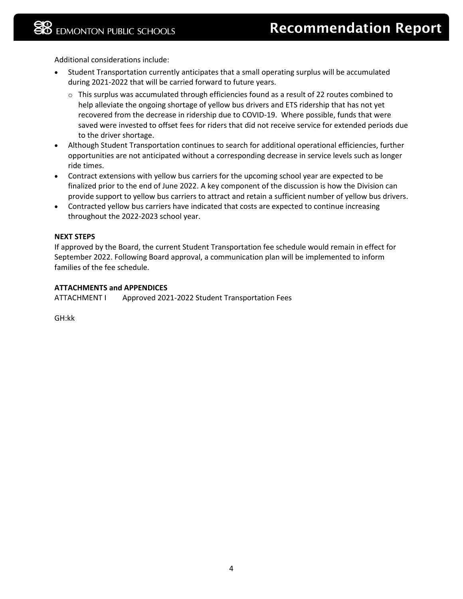Additional considerations include:

- Student Transportation currently anticipates that a small operating surplus will be accumulated during 2021-2022 that will be carried forward to future years.
	- $\circ$  This surplus was accumulated through efficiencies found as a result of 22 routes combined to help alleviate the ongoing shortage of yellow bus drivers and ETS ridership that has not yet recovered from the decrease in ridership due to COVID-19. Where possible, funds that were saved were invested to offset fees for riders that did not receive service for extended periods due to the driver shortage.
- Although Student Transportation continues to search for additional operational efficiencies, further opportunities are not anticipated without a corresponding decrease in service levels such as longer ride times.
- Contract extensions with yellow bus carriers for the upcoming school year are expected to be finalized prior to the end of June 2022. A key component of the discussion is how the Division can provide support to yellow bus carriers to attract and retain a sufficient number of yellow bus drivers.
- Contracted yellow bus carriers have indicated that costs are expected to continue increasing throughout the 2022-2023 school year.

#### **NEXT STEPS**

If approved by the Board, the current Student Transportation fee schedule would remain in effect for September 2022. Following Board approval, a communication plan will be implemented to inform families of the fee schedule.

#### **ATTACHMENTS and APPENDICES**

ATTACHMENT I Approved 2021-2022 Student Transportation Fees

GH:kk